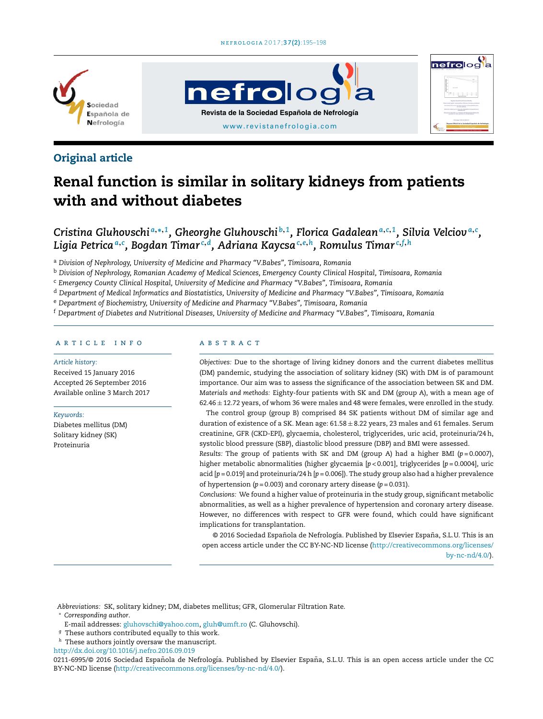

# **nefrolog Revista de la Sociedad Española de Nefrología** [www.revistanefrologia.com](http://www.revistanefrologia.com)



# Renal function is similar in solitary kidneys from patients with and without diabetes

Cristina Gluhovschiª,\*,1, Gheorghe Gluhovschi $^{\rm b,1}$ , Florica Gadaleanª,c,1, Silvia Velciovª,c, Ligia Petricaª.º, Bogdan Timar<sup>c,d</sup>, Adriana Kaycsa<sup>c,e,h</sup>, Romulus Timar<sup>c,f,h</sup>

<sup>a</sup> *Division of Nephrology, University of Medicine and Pharmacy "V.Babes", Timisoara, Romania*

<sup>b</sup> *Division of Nephrology, Romanian Academy of Medical Sciences, Emergency County Clinical Hospital, Timisoara, Romania*

<sup>c</sup> *Emergency County Clinical Hospital, University of Medicine and Pharmacy "V.Babes", Timisoara, Romania*

<sup>d</sup> *Department of Medical Informatics and Biostatistics, University of Medicine and Pharmacy "V.Babes", Timisoara, Romania*

<sup>e</sup> *Department of Biochemistry, University of Medicine and Pharmacy "V.Babes", Timisoara, Romania*

<sup>f</sup> *Department of Diabetes and Nutritional Diseases, University of Medicine and Pharmacy "V.Babes", Timisoara, Romania*

### a r t i c l e i n f o

#### *Article history:*

Received 15 January 2016 Accepted 26 September 2016 Available online 3 March 2017

#### *Keywords:*

Diabetes mellitus (DM) Solitary kidney (SK) Proteinuria

# A B S T R A C T

*Objectives:* Due to the shortage of living kidney donors and the current diabetes mellitus (DM) pandemic, studying the association of solitary kidney (SK) with DM is of paramount importance. Our aim was to assess the significance of the association between SK and DM. *Materials and methods:* Eighty-four patients with SK and DM (group A), with a mean age of  $62.46 \pm 12.72$  years, of whom 36 were males and 48 were females, were enrolled in the study.

nefrolog

The control group (group B) comprised 84 SK patients without DM of similar age and duration of existence of a SK. Mean age:  $61.58 \pm 8.22$  years, 23 males and 61 females. Serum creatinine, GFR (CKD-EPI), glycaemia, cholesterol, triglycerides, uric acid, proteinuria/24h, systolic blood pressure (SBP), diastolic blood pressure (DBP) and BMI were assessed.

*Results:* The group of patients with SK and DM (group A) had a higher BMI (*p* = 0.0007), higher metabolic abnormalities (higher glycaemia [*p* < 0.001], triglycerides [*p* = 0.0004], uric acid [*p* = 0.019] and proteinuria/24h [*p* = 0.006]). The study group also had a higher prevalence of hypertension (*p* = 0.003) and coronary artery disease (*p* = 0.031).

*Conclusions:* We found a higher value of proteinuria in the study group, significant metabolic abnormalities, as well as a higher prevalence of hypertension and coronary artery disease. However, no differences with respect to GFR were found, which could have significant implications for transplantation.

© 2016 Sociedad Española de Nefrología. Published by Elsevier España, S.L.U. This is an open access article under the CC BY-NC-ND license [\(http://creativecommons.org/licenses/](http://creativecommons.org/licenses/by-nc-nd/4.0/) [by-nc-nd/4.0/\)](http://creativecommons.org/licenses/by-nc-nd/4.0/).

*Abbreviations:* SK, solitary kidney; DM, diabetes mellitus; GFR, Glomerular Filtration Rate. <sup>∗</sup> *Corresponding author*.

E-mail addresses: [gluhovschi@yahoo.com](mailto:gluhovschi@yahoo.com), [gluh@umft.ro](mailto:gluh@umft.ro) (C. Gluhovschi).

- $9$  These authors contributed equally to this work.
- These authors jointly oversaw the manuscript.

[http://dx.doi.org/10.1016/j.nefro.2016.09.019](dx.doi.org/10.1016/j.nefro.2016.09.019)

0211-6995/© 2016 Sociedad Española de Nefrología. Published by Elsevier España, S.L.U. This is an open access article under the CC BY-NC-ND license (<http://creativecommons.org/licenses/by-nc-nd/4.0/>).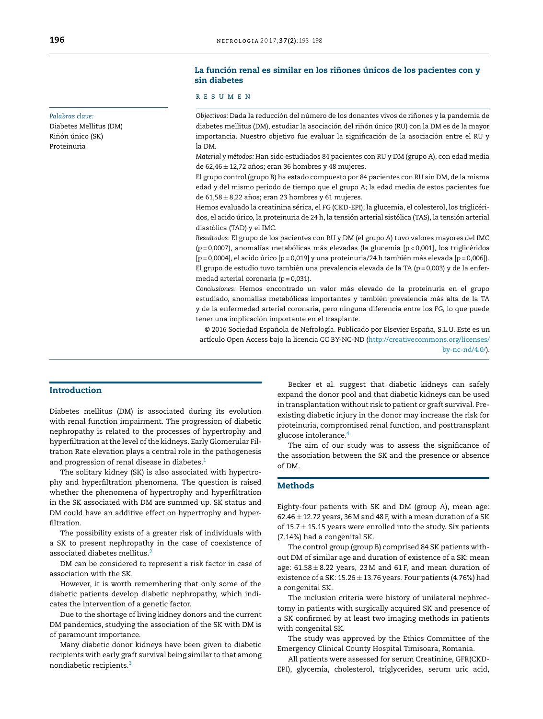# *Palabras clave:*

Diabetes Mellitus (DM) Riñón único (SK) Proteinuria

## La función renal es similar en los riñones únicos de los pacientes con y sin diabetes

## r e s u m e n

*Objectivos:* Dada la reducción del número de los donantes vivos de rinones ˜ y la pandemia de diabetes mellitus (DM), estudiar la asociación del riñón único (RU) con la DM es de la mayor importancia. Nuestro objetivo fue evaluar la significación de la asociación entre el RU y la DM.

*Material y métodos:* Han sido estudiados 84 pacientes con RU y DM (grupo A), con edad media de 62,46  $\pm$  12,72 años; eran 36 hombres y 48 mujeres.

El grupo control (grupo B) ha estado compuesto por 84 pacientes con RU sin DM, de la misma edad y del mismo periodo de tiempo que el grupo A; la edad media de estos pacientes fue de 61,58  $\pm$  8,22 años; eran 23 hombres y 61 mujeres.

Hemos evaluado la creatinina sérica, el FG (CKD-EPI), la glucemia, el colesterol, los triglicéridos, el acido úrico, la proteinuria de 24 h, la tensión arterial sistólica (TAS), la tensión arterial diastólica (TAD) y el IMC.

*Resultados:* El grupo de los pacientes con RU y DM (el grupo A) tuvo valores mayores del IMC (p = 0,0007), anomalías metabólicas más elevadas (la glucemia [p < 0,001], los triglicéridos  $[p = 0,0004]$ , el acido úrico  $[p = 0,019]$  y una proteinuria/24 h también más elevada  $[p = 0,006]$ ). El grupo de estudio tuvo también una prevalencia elevada de la TA ( $p = 0,003$ ) y de la enfermedad arterial coronaria ( $p = 0,031$ ).

*Conclusiones:* Hemos encontrado un valor más elevado de la proteinuria en el grupo estudiado, anomalías metabólicas importantes y también prevalencia más alta de la TA y de la enfermedad arterial coronaria, pero ninguna diferencia entre los FG, lo que puede tener una implicación importante en el trasplante.

© 2016 Sociedad Española de Nefrología. Publicado por Elsevier España, S.L.U. Este es un artículo Open Access bajo la licencia CC BY-NC-ND [\(http://creativecommons.org/licenses/](http://creativecommons.org/licenses/by-nc-nd/4.0/) [by-nc-nd/4.0/\)](http://creativecommons.org/licenses/by-nc-nd/4.0/).

## Introduction

Diabetes mellitus (DM) is associated during its evolution with renal function impairment. The progression of diabetic nephropathy is related to the processes of hypertrophy and hyperfiltration at the level of the kidneys. Early Glomerular Filtration Rate elevation plays a central role in the pathogenesis and progression of renal disease in diabetes.<sup>[1](#page-3-0)</sup>

The solitary kidney (SK) is also associated with hypertrophy and hyperfiltration phenomena. The question is raised whether the phenomena of hypertrophy and hyperfiltration in the SK associated with DM are summed up. SK status and DM could have an additive effect on hypertrophy and hyperfiltration.

The possibility exists of a greater risk of individuals with a SK to present nephropathy in the case of coexistence of associated diabetes mellitus.[2](#page-3-0)

DM can be considered to represent a risk factor in case of association with the SK.

However, it is worth remembering that only some of the diabetic patients develop diabetic nephropathy, which indicates the intervention of a genetic factor.

Due to the shortage of living kidney donors and the current DM pandemics, studying the association of the SK with DM is of paramount importance.

Many diabetic donor kidneys have been given to diabetic recipients with early graft survival being similar to that among nondiabetic recipients.[3](#page-3-0)

Becker et al. suggest that diabetic kidneys can safely expand the donor pool and that diabetic kidneys can be used in transplantation without risk to patient or graft survival. Preexisting diabetic injury in the donor may increase the risk for proteinuria, compromised renal function, and posttransplant glucose intolerance.[4](#page-3-0)

The aim of our study was to assess the significance of the association between the SK and the presence or absence of DM.

## Methods

Eighty-four patients with SK and DM (group A), mean age:  $62.46 \pm 12.72$  years, 36 M and 48 F, with a mean duration of a SK of  $15.7 \pm 15.15$  years were enrolled into the study. Six patients (7.14%) had a congenital SK.

The control group (group B) comprised 84 SK patients without DM of similar age and duration of existence of a SK: mean age:  $61.58 \pm 8.22$  years, 23 M and 61 F, and mean duration of existence of a SK:  $15.26 \pm 13.76$  years. Four patients (4.76%) had a congenital SK.

The inclusion criteria were history of unilateral nephrectomy in patients with surgically acquired SK and presence of a SK confirmed by at least two imaging methods in patients with congenital SK.

The study was approved by the Ethics Committee of the Emergency Clinical County Hospital Timisoara, Romania.

All patients were assessed for serum Creatinine, GFR(CKD-EPI), glycemia, cholesterol, triglycerides, serum uric acid,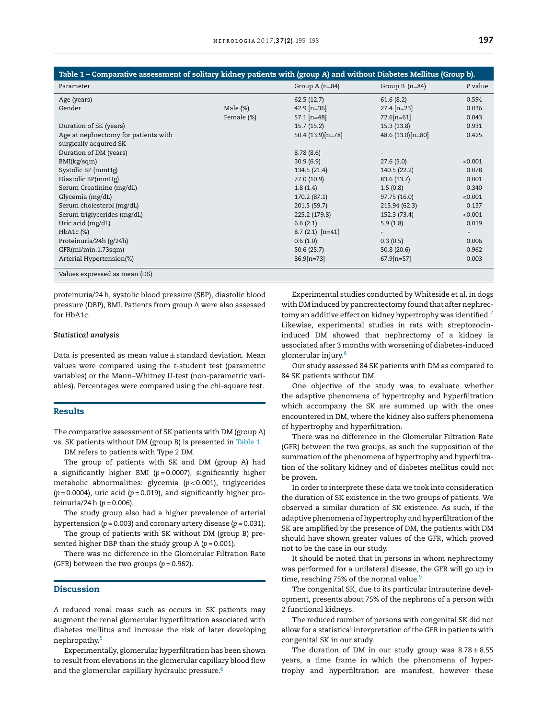| Table 1 – Comparative assessment of solitary kidney patients with (group A) and without Diabetes Mellitus (Group b). |             |                   |                   |         |
|----------------------------------------------------------------------------------------------------------------------|-------------|-------------------|-------------------|---------|
| Parameter                                                                                                            |             | Group $A(n=84)$   | Group $B(n=84)$   | P value |
| Age (years)                                                                                                          |             | 62.5(12.7)        | 61.6(8.2)         | 0.594   |
| Gender                                                                                                               | Male $(\%)$ | $42.9$ [n=36]     | $27.4$ [n=23]     | 0.036   |
|                                                                                                                      | Female (%)  | $57.1$ [n=48]     | $72.6[n=61]$      | 0.043   |
| Duration of SK (years)                                                                                               |             | 15.7(15.2)        | 15.3(13.8)        | 0.931   |
| Age at nephrectomy for patients with                                                                                 |             | 50.4 (13.9)[n=78] | 48.6 (13.0)[n=80] | 0.425   |
| surgically acquired SK                                                                                               |             |                   |                   |         |
| Duration of DM (years)                                                                                               |             | 8.78(8.6)         |                   |         |
| BMI(kg/sqm)                                                                                                          |             | 30.9(6.9)         | 27.6(5.0)         | < 0.001 |
| Systolic BP (mmHg)                                                                                                   |             | 134.5 (21.4)      | 140.5 (22.2)      | 0.078   |
| Diastolic BP(mmHg)                                                                                                   |             | 77.0 (10.9)       | 83.6(13.7)        | 0.001   |
| Serum Creatinine (mg/dL)                                                                                             |             | 1.8(1.4)          | 1.5(0.8)          | 0.340   |
| Glycemia (mg/dL)                                                                                                     |             | 170.2 (87.1)      | 97.75 (16.0)      | < 0.001 |
| Serum cholesterol (mg/dL)                                                                                            |             | 201.5 (59.7)      | 215.94 (62.3)     | 0.137   |
| Serum triglycerides (mg/dL)                                                                                          |             | 225.2 (179.8)     | 152.3 (73.4)      | < 0.001 |
| Uric acid (mg/dL)                                                                                                    |             | 6.6(2.1)          | 5.9(1.8)          | 0.019   |
| $HbA1c$ $(\%)$                                                                                                       |             | $8.7(2.1)$ [n=41] |                   |         |
| Proteinuria/24h (g/24h)                                                                                              |             | 0.6(1.0)          | 0.3(0.5)          | 0.006   |
| GFR(ml/min.1.73sqm)                                                                                                  |             | 50.6(25.7)        | 50.8(20.6)        | 0.962   |
| Arterial Hypertension(%)                                                                                             |             | $86.9[n=73]$      | $67.9[n=57]$      | 0.003   |
| Values expressed as mean (DS).                                                                                       |             |                   |                   |         |

proteinuria/24h, systolic blood pressure (SBP), diastolic blood pressure (DBP), BMI. Patients from group A were also assessed for HbA1c.

#### *Statistical analysis*

Data is presented as mean value  $\pm$  standard deviation. Mean values were compared using the *t*-student test (parametric variables) or the Mann–Whitney *U*-test (non-parametric variables). Percentages were compared using the chi-square test.

## Results

The comparative assessment of SK patients with DM (group A) vs. SK patients without DM (group B) is presented in Table 1.

DM refers to patients with Type 2 DM.

The group of patients with SK and DM (group A) had a significantly higher BMI (*p* = 0.0007), significantly higher metabolic abnormalities: glycemia (*p* < 0.001), triglycerides  $(p=0.0004)$ , uric acid  $(p=0.019)$ , and significantly higher proteinuria/24h (*p* = 0.006).

The study group also had a higher prevalence of arterial hypertension ( $p = 0.003$ ) and coronary artery disease ( $p = 0.031$ ).

The group of patients with SK without DM (group B) presented higher DBP than the study group A ( $p = 0.001$ ).

There was no difference in the Glomerular Filtration Rate (GFR) between the two groups (*p* = 0.962).

### Discussion

A reduced renal mass such as occurs in SK patients may augment the renal glomerular hyperfiltration associated with diabetes mellitus and increase the risk of later developing nephropathy.[5](#page-3-0)

Experimentally, glomerular hyperfiltration has been shown to result from elevations in the glomerular capillary blood flow and the glomerular capillary hydraulic pressure.<sup>[6](#page-3-0)</sup>

Experimental studies conducted by Whiteside et al. in dogs with DM induced by pancreatectomy found that after nephrectomy an additive effect on kidney hypertrophy was identified. $7$ Likewise, experimental studies in rats with streptozocininduced DM showed that nephrectomy of a kidney is associated after 3 months with worsening of diabetes-induced glomerular injury.<sup>[8](#page-3-0)</sup>

Our study assessed 84 SK patients with DM as compared to 84 SK patients without DM.

One objective of the study was to evaluate whether the adaptive phenomena of hypertrophy and hyperfiltration which accompany the SK are summed up with the ones encountered in DM, where the kidney also suffers phenomena of hypertrophy and hyperfiltration.

There was no difference in the Glomerular Filtration Rate (GFR) between the two groups, as such the supposition of the summation of the phenomena of hypertrophy and hyperfiltration of the solitary kidney and of diabetes mellitus could not be proven.

In order to interprete these data we took into consideration the duration of SK existence in the two groups of patients. We observed a similar duration of SK existence. As such, if the adaptive phenomena of hypertrophy and hyperfiltration of the SK are amplified by the presence of DM, the patients with DM should have shown greater values of the GFR, which proved not to be the case in our study.

It should be noted that in persons in whom nephrectomy was performed for a unilateral disease, the GFR will go up in time, reaching 75% of the normal value.<sup>[9](#page-3-0)</sup>

The congenital SK, due to its particular intrauterine development, presents about 75% of the nephrons of a person with 2 functional kidneys.

The reduced number of persons with congenital SK did not allow for a statistical interpretation of the GFR in patients with congenital SK in our study.

The duration of DM in our study group was  $8.78 \pm 8.55$ years, a time frame in which the phenomena of hypertrophy and hyperfiltration are manifest, however these